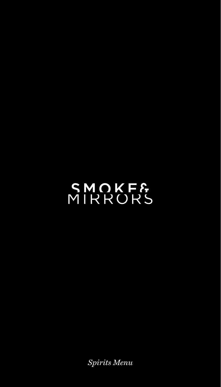# SMOKF&<br>MIRRORS

*Spirits Menu*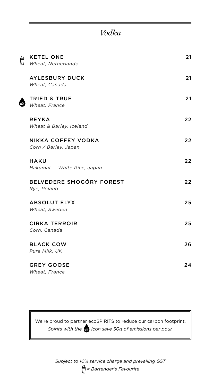#### *Vodka*

 $\bigoplus$ 

| <b>KETEL ONE</b><br>Wheat, Netherlands     | 21 |
|--------------------------------------------|----|
| <b>AYLESBURY DUCK</b><br>Wheat, Canada     | 21 |
| <b>TRIED &amp; TRUE</b><br>Wheat, France   | 21 |
| <b>REYKA</b><br>Wheat & Barley, Iceland    | 22 |
| NIKKA COFFEY VODKA<br>Corn / Barley, Japan | 22 |
| <b>HAKU</b><br>Hakumai - White Rice, Japan | 22 |
| BELVEDERE SMOGÓRY FOREST<br>Rye, Poland    | 22 |
| <b>ABSOLUT ELYX</b><br>Wheat, Sweden       | 25 |
| <b>CIRKA TERROIR</b><br>Corn, Canada       | 25 |
| <b>BLACK COW</b><br>Pure Milk, UK          | 26 |
| <b>GREY GOOSE</b><br>Wheat, France         | 24 |

We're proud to partner ecoSPIRITS to reduce our carbon footprint. *Spirits with the icon save 30g of emissions per pour.*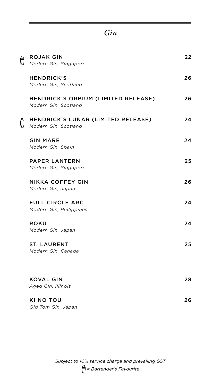| <b>ROJAK GIN</b>                                           | 22 |
|------------------------------------------------------------|----|
| Modern Gin, Singapore                                      |    |
| <b>HENDRICK'S</b><br>Modern Gin, Scotland                  | 26 |
| HENDRICK'S ORBIUM (LIMITED RELEASE)                        | 26 |
| Modern Gin, Scotland                                       |    |
| HENDRICK'S LUNAR (LIMITED RELEASE)<br>Modern Gin, Scotland | 24 |
| <b>GIN MARE</b>                                            | 24 |
| Modern Gin, Spain                                          |    |
| <b>PAPER LANTERN</b>                                       | 25 |
| Modern Gin, Singapore                                      |    |
| NIKKA COFFEY GIN                                           | 26 |
| Modern Gin, Japan                                          |    |
| <b>FULL CIRCLE ARC</b>                                     | 24 |
| Modern Gin, Philippines                                    |    |
| <b>ROKU</b>                                                | 24 |
| Modern Gin, Japan                                          |    |
| <b>ST. LAURENT</b>                                         | 25 |
| Modern Gin, Canada                                         |    |
|                                                            |    |
| <b>KOVAL GIN</b>                                           | 28 |
| Aged Gin, Illinois                                         |    |
| KI NO TOU                                                  | 26 |
| Old Tom Gin, Japan                                         |    |

*Gin*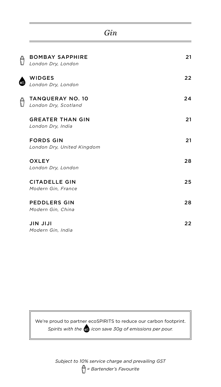#### *Gin*

 $\bigoplus$ 

 $\spadesuit$ 

 $\bigoplus$ 

| <b>BOMBAY SAPPHIRE</b><br>London Dry, London    | 21 |
|-------------------------------------------------|----|
| <b>WIDGES</b><br>London Dry, London             | 22 |
| <b>TANQUERAY NO. 10</b><br>London Dry, Scotland | 24 |
| <b>GREATER THAN GIN</b><br>London Dry, India    | 21 |
| <b>FORDS GIN</b><br>London Dry, United Kingdom  | 21 |
| OXLEY<br>London Dry, London                     | 28 |
| <b>CITADELLE GIN</b><br>Modern Gin, France      | 25 |
| <b>PEDDLERS GIN</b><br>Modern Gin, China        | 28 |
| <b>JIN JIJI</b><br>Modern Gin, India            | 22 |

We're proud to partner ecoSPIRITS to reduce our carbon footprint. *Spirits with the icon save 30g of emissions per pour.*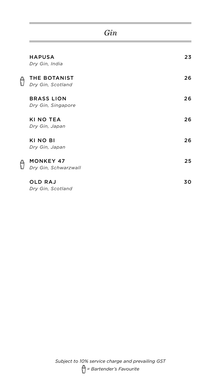| <b>HAPUSA</b><br>Dry Gin, India          | 23 |
|------------------------------------------|----|
| THE BOTANIST<br>Dry Gin, Scotland        | 26 |
| <b>BRASS LION</b><br>Dry Gin, Singapore  | 26 |
| <b>KI NO TEA</b><br>Dry Gin, Japan       | 26 |
| KI NO BI<br>Dry Gin, Japan               | 26 |
| <b>MONKEY 47</b><br>Dry Gin, Schwarzwall | 25 |
| <b>OLD RAJ</b><br>Dry Gin, Scotland      | 30 |

*Gin*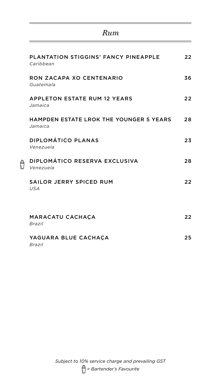#### *Rum*

| PLANTATION STIGGINS' FANCY PINEAPPLE<br>Caribbean         | 22 |
|-----------------------------------------------------------|----|
| RON ZACAPA XO CENTENARIO<br>Guatemala                     | 36 |
| <b>APPLETON ESTATE RUM 12 YEARS</b><br>Jamaica            | 22 |
| <b>HAMPDEN ESTATE LROK THE YOUNGER 5 YEARS</b><br>Jamaica | 28 |
| DIPLOMÁTICO PLANAS<br>Venezuela                           | 23 |
| DIPLOMÁTICO RESERVA EXCLUSIVA<br>Venezuela                | 28 |
| SAILOR JERRY SPICED RUM<br><b>USA</b>                     | 22 |
| <b>MARACATU CACHACA</b><br>Brazil                         | 22 |
| YAGUARA BLUE CACHACA<br>Brazil                            | 25 |

 $\overline{\theta}$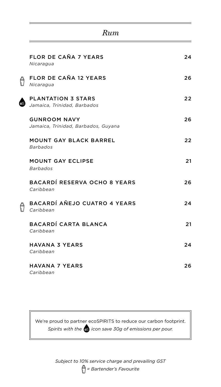#### *Rum*

|    | FLOR DE CAÑA 7 YEARS<br>Nicaragua                          | 24 |
|----|------------------------------------------------------------|----|
| Ô  | FLOR DE CAÑA 12 YEARS<br>Nicaragua                         | 26 |
| 69 | <b>PLANTATION 3 STARS</b><br>Jamaica, Trinidad, Barbados   | 22 |
|    | <b>GUNROOM NAVY</b><br>Jamaica, Trinidad, Barbados, Guyana | 26 |
|    | <b>MOUNT GAY BLACK BARREL</b><br><b>Barbados</b>           | 22 |
|    | <b>MOUNT GAY ECLIPSE</b><br><b>Barbados</b>                | 21 |
|    | BACARDÍ RESERVA OCHO 8 YEARS<br>Caribbean                  | 26 |
| Ô  | BACARDÍ AÑEJO CUATRO 4 YEARS<br>Caribbean                  | 24 |
|    | BACARDÍ CARTA BLANCA<br>Caribbean                          | 21 |
|    | <b>HAVANA 3 YEARS</b><br>Caribbean                         | 24 |
|    | <b>HAVANA 7 YEARS</b><br>Caribbean                         | 26 |

Ġ

We're proud to partner ecoSPIRITS to reduce our carbon footprint. *Spirits with the icon save 30g of emissions per pour.*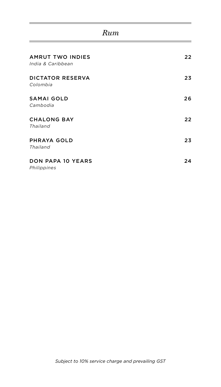### *Rum*

<u> 1989 - Johann Barn, mars ann an t-Alban ann an t-Alban ann an t-Alban ann an t-Alban ann an t-Alban ann an t-</u>

J,

| <b>AMRUT TWO INDIES</b><br>India & Caribbean | 22 |
|----------------------------------------------|----|
| <b>DICTATOR RESERVA</b><br>Colombia          | 23 |
| <b>SAMAI GOLD</b><br>Cambodia                | 26 |
| <b>CHALONG BAY</b><br>Thailand               | 22 |
| PHRAYA GOLD<br>Thailand                      | 23 |
| <b>DON PAPA 10 YEARS</b><br>Philippines      | 24 |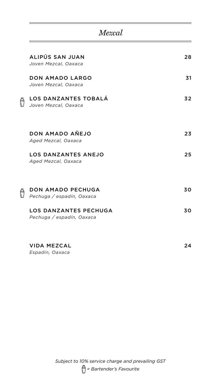## *Mezcal*

|   | ALIPÚS SAN JUAN<br>Joven Mezcal, Oaxaca                   | 28 |
|---|-----------------------------------------------------------|----|
|   | <b>DON AMADO LARGO</b><br>Joven Mezcal, Oaxaca            | 31 |
| Ô | LOS DANZANTES TOBALA<br>Joven Mezcal, Oaxaca              | 32 |
|   | DON AMADO AÑEJO<br>Aged Mezcal, Oaxaca                    | 23 |
|   | <b>LOS DANZANTES ANEJO</b><br>Aged Mezcal, Oaxaca         | 25 |
| Ô | DON AMADO PECHUGA<br>Pechuga / espadín, Oaxaca            | 30 |
|   | <b>LOS DANZANTES PECHUGA</b><br>Pechuga / espadín, Oaxaca | 30 |
|   | VIDA MEZCAL                                               | 24 |

*Espadin, Oaxaca*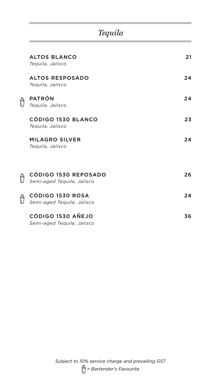## *Tequila*

| <b>ALTOS BLANCO</b><br>Teguila, Jalisco            | 21 |
|----------------------------------------------------|----|
| <b>ALTOS RESPOSADO</b><br>Teguila, Jalisco         | 24 |
| <b>PATRÓN</b><br>Teguila, Jalisco                  | 24 |
| CÓDIGO 1530 BLANCO<br>Teguila, Jalisco             | 23 |
| <b>MILAGRO SILVER</b><br>Teguila, Jalisco          | 24 |
|                                                    |    |
| CÓDIGO 1530 REPOSADO<br>Semi-aged Tequila, Jalisco | 26 |
| CÓDIGO 1530 ROSA<br>Semi-aged Tequila, Jalisco     | 24 |
| CÓDIGO 1530 AÑEJO<br>Semi-aged Tequila, Jalisco    | 36 |

 $\theta$ 

 $\overline{\theta}$ 

 $\overline{\theta}$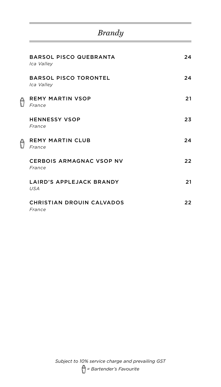## *Brandy*

|   | <b>BARSOL PISCO QUEBRANTA</b><br>Ica Valley | 24 |
|---|---------------------------------------------|----|
|   | <b>BARSOL PISCO TORONTEL</b><br>Ica Valley  | 24 |
| Ô | <b>REMY MARTIN VSOP</b><br>France           | 21 |
|   | <b>HENNESSY VSOP</b><br>France              | 23 |
|   | <b>REMY MARTIN CLUB</b><br>France           | 24 |
|   | <b>CERBOIS ARMAGNAC VSOP NV</b><br>France   | 22 |
|   | LAIRD'S APPLEJACK BRANDY<br><b>USA</b>      | 21 |
|   | <b>CHRISTIAN DROUIN CALVADOS</b><br>France  | 22 |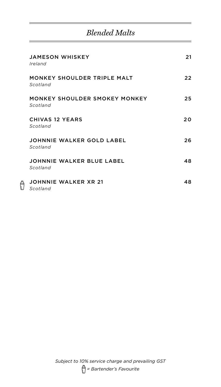## *Blended Malts*

| <b>JAMESON WHISKEY</b><br>Ireland                | 21  |
|--------------------------------------------------|-----|
| MONKEY SHOULDER TRIPLE MALT<br>Scotland          | 22  |
| <b>MONKEY SHOULDER SMOKEY MONKEY</b><br>Scotland | 25  |
| <b>CHIVAS 12 YEARS</b><br>Scotland               | 20  |
| JOHNNIE WALKER GOLD LABEL<br>Scotland            | 26. |
| JOHNNIE WALKER BLUE LABEL<br>Scotland            | 48  |
| <b>JOHNNIE WALKER XR 21</b><br>Scotland          | 48  |

 $\theta$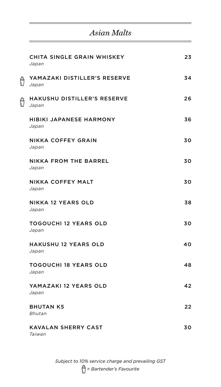## *Asian Malts*

|   | CHITA SINGLE GRAIN WHISKEY<br>Japan         | 23 |
|---|---------------------------------------------|----|
| Ô | YAMAZAKI DISTILLER'S RESERVE<br>Japan       | 34 |
| Ô | <b>HAKUSHU DISTILLER'S RESERVE</b><br>Japan | 26 |
|   | <b>HIBIKI JAPANESE HARMONY</b><br>Japan     | 36 |
|   | NIKKA COFFEY GRAIN<br>Japan                 | 30 |
|   | NIKKA FROM THE BARREL<br>Japan              | 30 |
|   | NIKKA COFFEY MALT<br>Japan                  | 30 |
|   | NIKKA 12 YEARS OLD<br>Japan                 | 38 |
|   | <b>TOGOUCHI 12 YEARS OLD</b><br>Japan       | 30 |
|   | <b>HAKUSHU 12 YEARS OLD</b><br>Japan        | 40 |
|   | <b>TOGOUCHI 18 YEARS OLD</b><br>Japan       | 48 |
|   | YAMAZAKI 12 YEARS OLD<br>Japan              | 42 |
|   | <b>BHUTAN K5</b><br>Bhutan                  | 22 |
|   | KAVALAN SHERRY CAST<br>Taiwan               | 30 |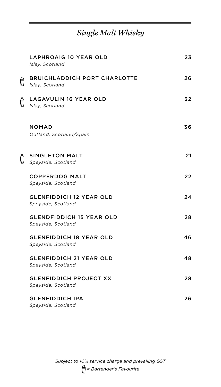## *Single Malt Whisky*

|   | LAPHROAIG 10 YEAR OLD<br>Islay, Scotland               | 23 |
|---|--------------------------------------------------------|----|
| Ô | <b>BRUICHLADDICH PORT CHARLOTTE</b><br>Islay, Scotland | 26 |
|   | <b>LAGAVULIN 16 YEAR OLD</b><br>Islay, Scotland        | 32 |
|   | <b>NOMAD</b><br>Outland, Scotland/Spain                | 36 |
| Ô | <b>SINGLETON MALT</b><br>Speyside, Scotland            | 21 |
|   | <b>COPPERDOG MALT</b><br>Speyside, Scotland            | 22 |
|   | <b>GLENFIDDICH 12 YEAR OLD</b><br>Speyside, Scotland   | 24 |
|   | <b>GLENDFIDDICH 15 YEAR OLD</b><br>Speyside, Scotland  | 28 |
|   | <b>GLENFIDDICH 18 YEAR OLD</b><br>Speyside, Scotland   | 46 |
|   | <b>GLENFIDDICH 21 YEAR OLD</b><br>Speyside, Scotland   | 48 |
|   | <b>GLENFIDDICH PROJECT XX</b><br>Speyside, Scotland    | 28 |
|   | <b>GLENFIDDICH IPA</b><br>Speyside, Scotland           | 26 |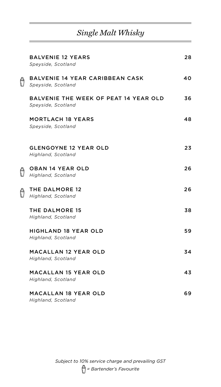## *Single Malt Whisky*

|   | <b>BALVENIE 12 YEARS</b><br>Speyside, Scotland               | 28 |
|---|--------------------------------------------------------------|----|
| Ô | <b>BALVENIE 14 YEAR CARIBBEAN CASK</b><br>Speyside, Scotland | 40 |
|   | BALVENIE THE WEEK OF PEAT 14 YEAR OLD<br>Speyside, Scotland  | 36 |
|   | <b>MORTLACH 18 YEARS</b><br>Speyside, Scotland               | 48 |
|   | <b>GLENGOYNE 12 YEAR OLD</b><br>Highland, Scotland           | 23 |
| Ô | <b>OBAN 14 YEAR OLD</b><br>Highland, Scotland                | 26 |
| Ô | THE DALMORE 12<br>Highland, Scotland                         | 26 |
|   | THE DALMORE 15<br>Highland, Scotland                         | 38 |
|   | <b>HIGHLAND 18 YEAR OLD</b><br>Highland, Scotland            | 59 |
|   | <b>MACALLAN 12 YEAR OLD</b><br>Highland, Scotland            | 34 |
|   | <b>MACALLAN 15 YEAR OLD</b><br>Highland, Scotland            | 43 |
|   | <b>MACALLAN 18 YEAR OLD</b>                                  | 69 |

*Highland, Scotland*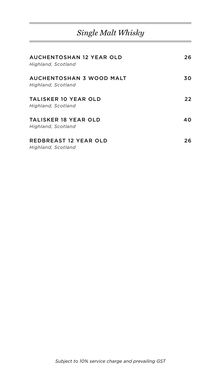## *Single Malt Whisky*

| AUCHENTOSHAN 12 YEAR OLD<br>Highland, Scotland     | 26 |
|----------------------------------------------------|----|
| AUCHENTOSHAN 3 WOOD MALT<br>Highland, Scotland     | 30 |
| <b>TALISKER 10 YEAR OLD</b><br>Highland, Scotland  | 22 |
| TALISKER 18 YEAR OLD<br>Highland, Scotland         | 40 |
| <b>REDBREAST 12 YEAR OLD</b><br>Highland, Scotland | 26 |